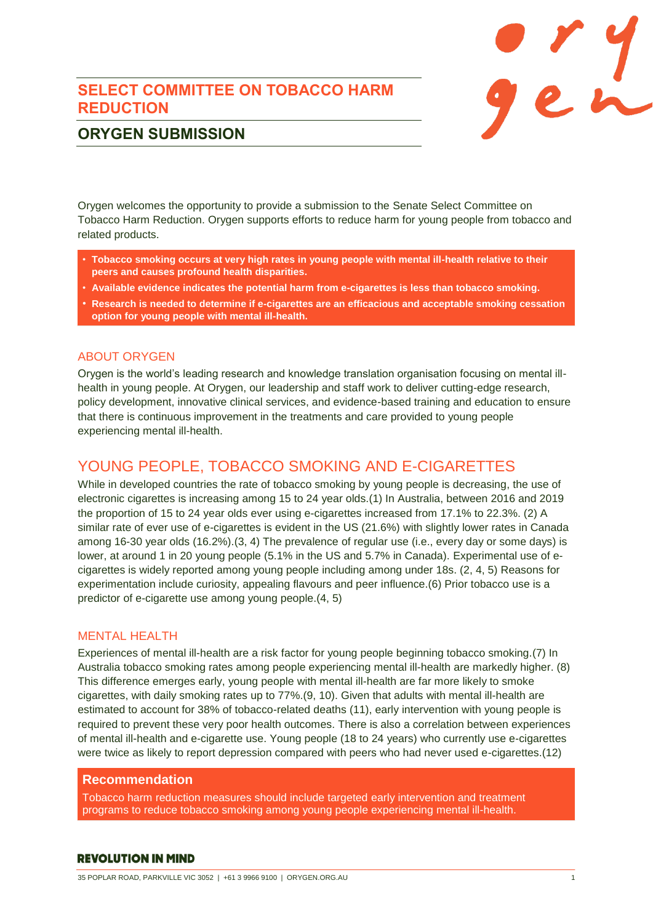## **SELECT COMMITTEE ON TOBACCO HARM REDUCTION**



# **ORYGEN SUBMISSION**

Orygen welcomes the opportunity to provide a submission to the Senate Select Committee on Tobacco Harm Reduction. Orygen supports efforts to reduce harm for young people from tobacco and related products.

- **Tobacco smoking occurs at very high rates in young people with mental ill-health relative to their peers and causes profound health disparities.**
- **Available evidence indicates the potential harm from e-cigarettes is less than tobacco smoking.**
- **Research is needed to determine if e-cigarettes are an efficacious and acceptable smoking cessation option for young people with mental ill-health.**

## ABOUT ORYGEN

Orygen is the world's leading research and knowledge translation organisation focusing on mental illhealth in young people. At Orygen, our leadership and staff work to deliver cutting-edge research, policy development, innovative clinical services, and evidence-based training and education to ensure that there is continuous improvement in the treatments and care provided to young people experiencing mental ill-health.

# YOUNG PEOPLE, TOBACCO SMOKING AND E-CIGARETTES

While in developed countries the rate of tobacco smoking by young people is decreasing, the use of electronic cigarettes is increasing among 15 to 24 year olds.(1) In Australia, between 2016 and 2019 the proportion of 15 to 24 year olds ever using e-cigarettes increased from 17.1% to 22.3%. (2) A similar rate of ever use of e-cigarettes is evident in the US (21.6%) with slightly lower rates in Canada among 16-30 year olds (16.2%).(3, 4) The prevalence of regular use (i.e., every day or some days) is lower, at around 1 in 20 young people (5.1% in the US and 5.7% in Canada). Experimental use of ecigarettes is widely reported among young people including among under 18s. (2, 4, 5) Reasons for experimentation include curiosity, appealing flavours and peer influence.(6) Prior tobacco use is a predictor of e-cigarette use among young people.(4, 5)

## MENTAL HEALTH

Experiences of mental ill-health are a risk factor for young people beginning tobacco smoking.(7) In Australia tobacco smoking rates among people experiencing mental ill-health are markedly higher. (8) This difference emerges early, young people with mental ill-health are far more likely to smoke cigarettes, with daily smoking rates up to 77%.(9, 10). Given that adults with mental ill-health are estimated to account for 38% of tobacco-related deaths (11), early intervention with young people is required to prevent these very poor health outcomes. There is also a correlation between experiences of mental ill-health and e-cigarette use. Young people (18 to 24 years) who currently use e-cigarettes were twice as likely to report depression compared with peers who had never used e-cigarettes.(12)

## **Recommendation**

Tobacco harm reduction measures should include targeted early intervention and treatment programs to reduce tobacco smoking among young people experiencing mental ill-health.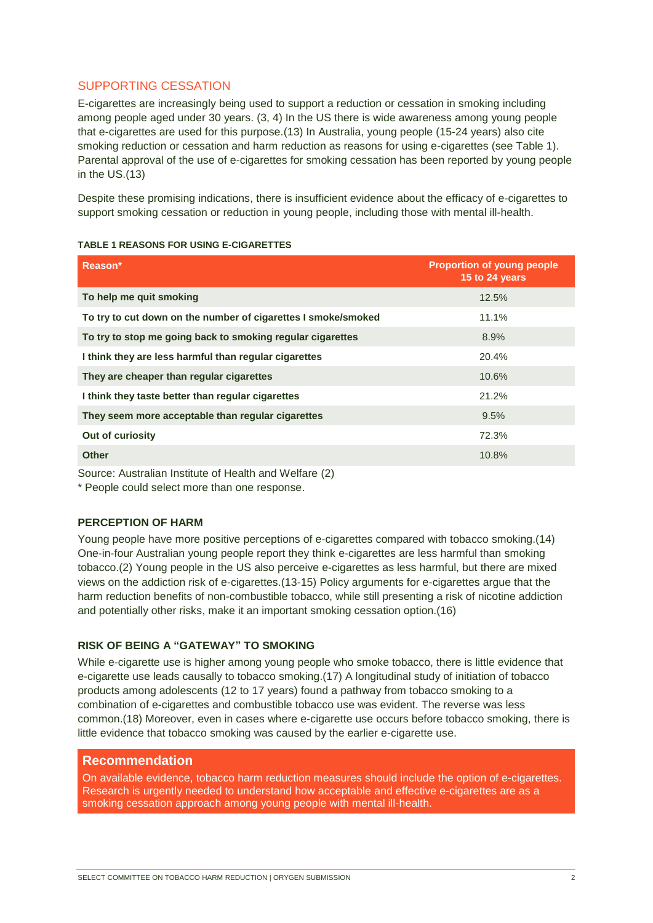## SUPPORTING CESSATION

E-cigarettes are increasingly being used to support a reduction or cessation in smoking including among people aged under 30 years. (3, 4) In the US there is wide awareness among young people that e-cigarettes are used for this purpose.(13) In Australia, young people (15-24 years) also cite smoking reduction or cessation and harm reduction as reasons for using e-cigarettes (see [Table 1\)](#page-1-0). Parental approval of the use of e-cigarettes for smoking cessation has been reported by young people in the US.(13)

Despite these promising indications, there is insufficient evidence about the efficacy of e-cigarettes to support smoking cessation or reduction in young people, including those with mental ill-health.

| Reason*                                                       | <b>Proportion of young people</b><br>15 to 24 years |
|---------------------------------------------------------------|-----------------------------------------------------|
| To help me quit smoking                                       | 12.5%                                               |
| To try to cut down on the number of cigarettes I smoke/smoked | 11.1%                                               |
| To try to stop me going back to smoking regular cigarettes    | 8.9%                                                |
| I think they are less harmful than regular cigarettes         | 20.4%                                               |
| They are cheaper than regular cigarettes                      | 10.6%                                               |
| I think they taste better than regular cigarettes             | 21.2%                                               |
| They seem more acceptable than regular cigarettes             | 9.5%                                                |
| Out of curiosity                                              | 72.3%                                               |
| <b>Other</b>                                                  | 10.8%                                               |

#### <span id="page-1-0"></span>**TABLE 1 REASONS FOR USING E-CIGARETTES**

Source: Australian Institute of Health and Welfare (2)

\* People could select more than one response.

#### **PERCEPTION OF HARM**

Young people have more positive perceptions of e-cigarettes compared with tobacco smoking.(14) One-in-four Australian young people report they think e-cigarettes are less harmful than smoking tobacco.(2) Young people in the US also perceive e-cigarettes as less harmful, but there are mixed views on the addiction risk of e-cigarettes.(13-15) Policy arguments for e-cigarettes argue that the harm reduction benefits of non-combustible tobacco, while still presenting a risk of nicotine addiction and potentially other risks, make it an important smoking cessation option.(16)

### **RISK OF BEING A "GATEWAY" TO SMOKING**

While e-cigarette use is higher among young people who smoke tobacco, there is little evidence that e-cigarette use leads causally to tobacco smoking.(17) A longitudinal study of initiation of tobacco products among adolescents (12 to 17 years) found a pathway from tobacco smoking to a combination of e-cigarettes and combustible tobacco use was evident. The reverse was less common.(18) Moreover, even in cases where e-cigarette use occurs before tobacco smoking, there is little evidence that tobacco smoking was caused by the earlier e-cigarette use.

## **Recommendation**

On available evidence, tobacco harm reduction measures should include the option of e-cigarettes. Research is urgently needed to understand how acceptable and effective e-cigarettes are as a smoking cessation approach among young people with mental ill-health.